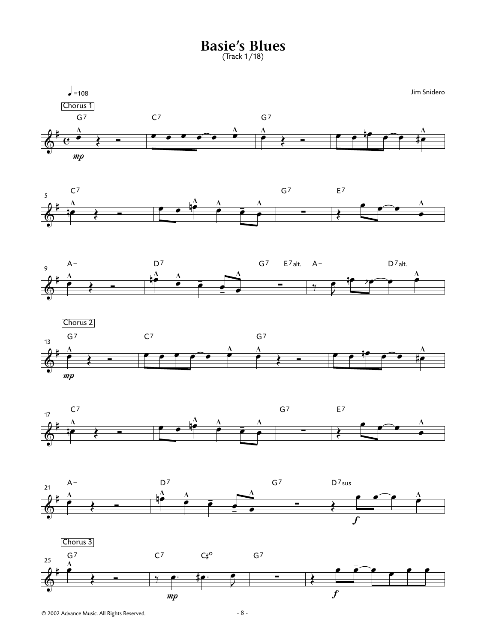**Basie's Blues** (Track 1/18)









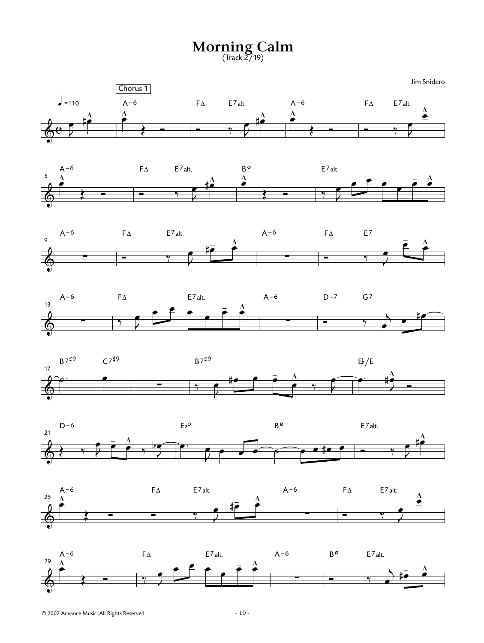**Morning Calm** (Track 2/19)

Jim Snidero















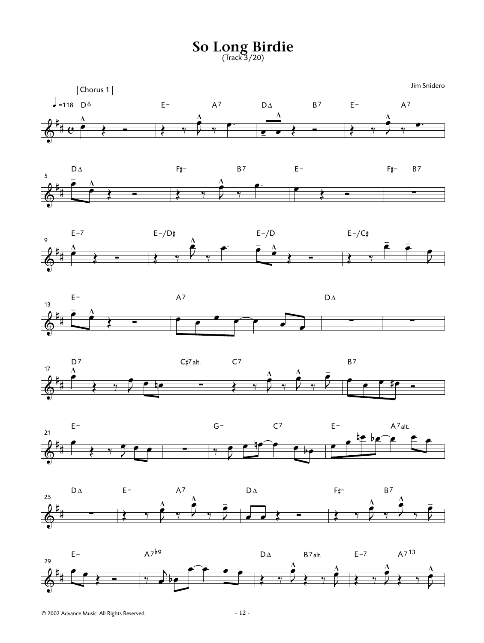**So Long Birdie** (Track 3/20)















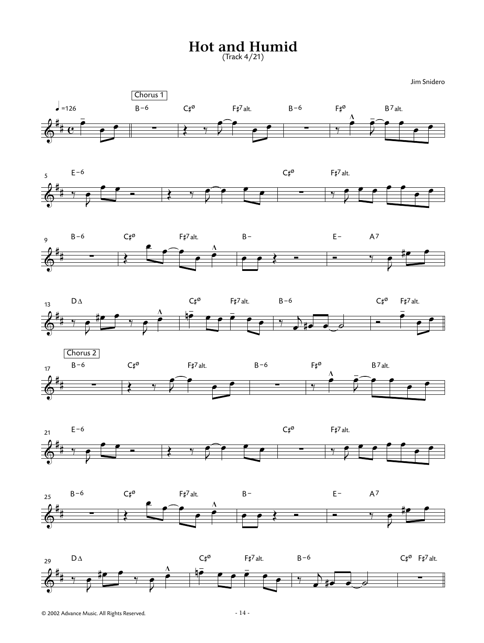## **Hot and Humid**

(Track 4/21)















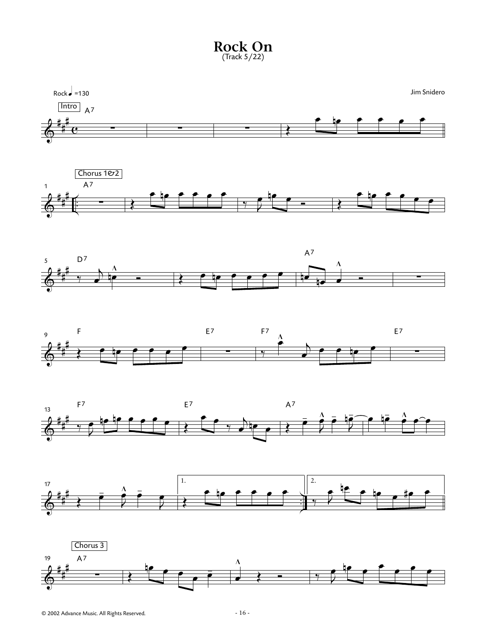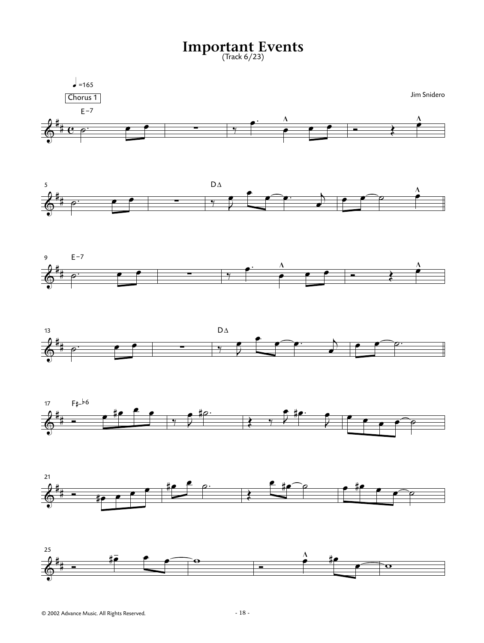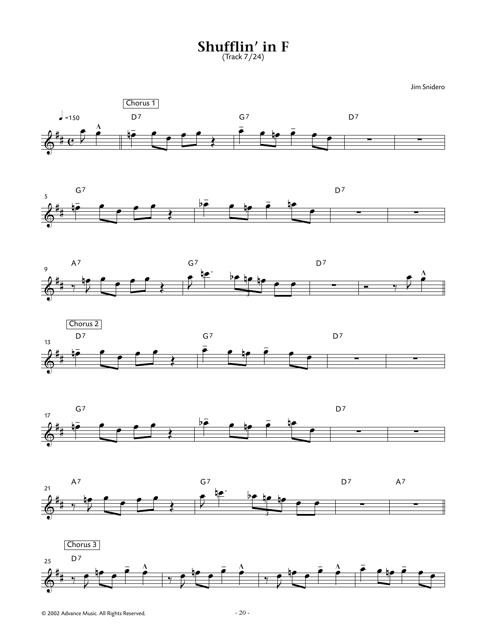**Shufflin' in F** (Track 7/24)













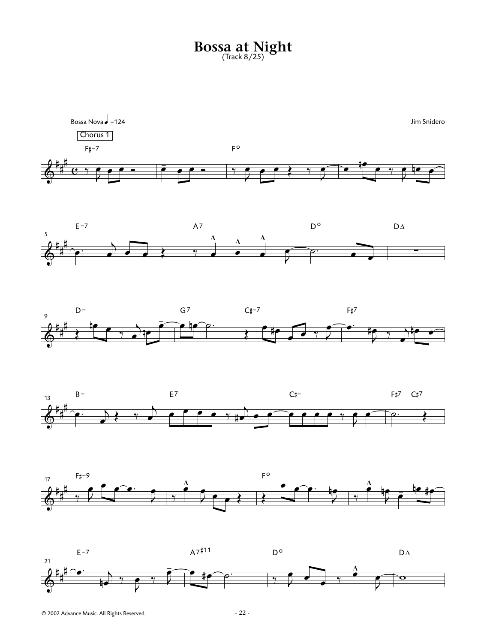## **Bossa at Night** (Track 8/25)











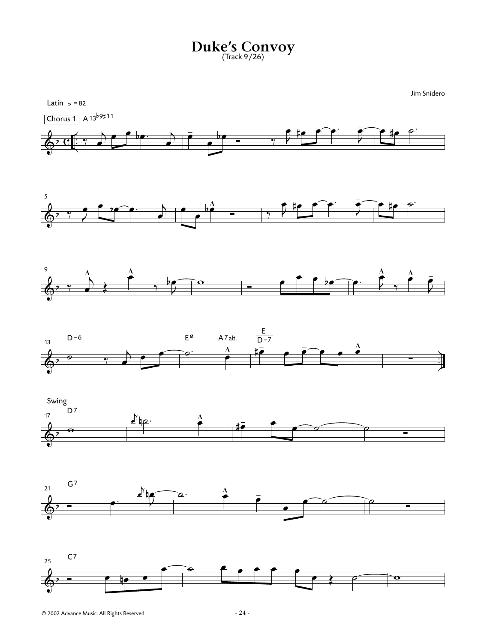**Duke's Convoy** (Track 9/26)

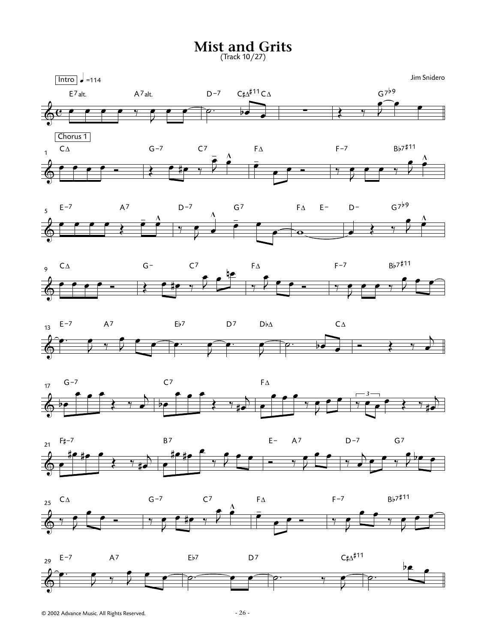**Mist and Grits**

(Track 10/27)

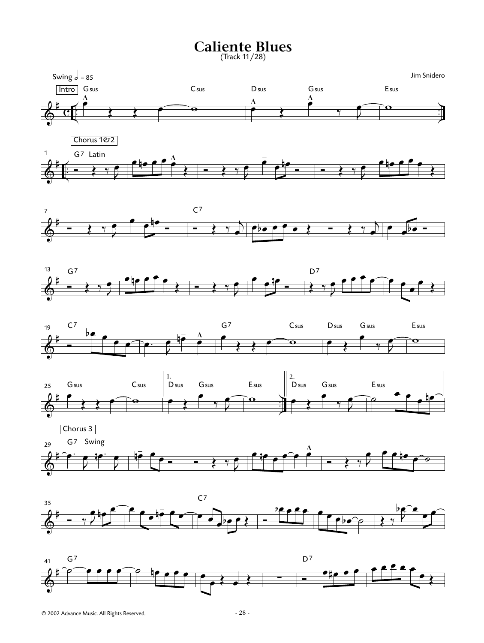## **Caliente Blues**

(Track 11/28)











 $\bm{\phi}^*$ 29 Chorus 3 G<sup>7</sup> Swing œ. J  $\frac{1}{2}$ œ  $\pm$  $\overline{\phantom{a}}$  $\bullet$   $\left. \begin{array}{cc} \left. \begin{array}{cc} \circ & \circ & \circ \end{array} \right. & \circ & \circ & \circ \end{array} \right.$ œ **™** ⊕ ∞ ∞ ∞ ∞ ∞<br>─────  $\bullet$   $\rightarrow$   $\prime$  $\bullet$   $\bullet$   $\bullet$   $\circ$ 



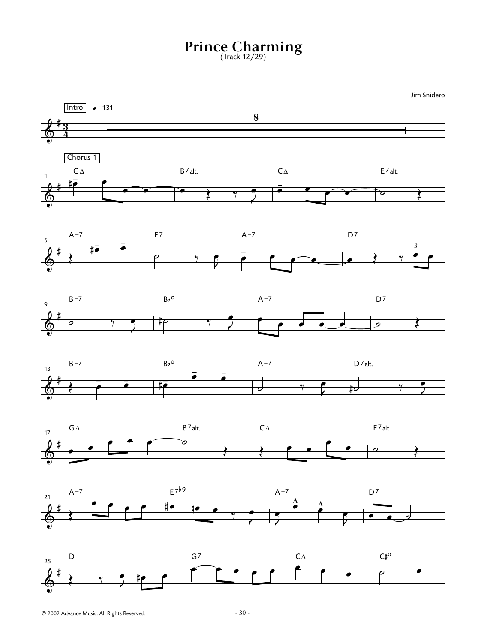## **Prince Charming** (Track 12/29)

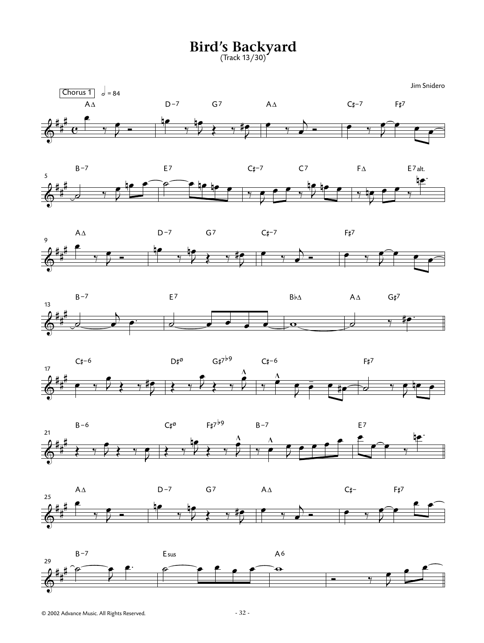**Bird's Backyard** (Track 13/30)

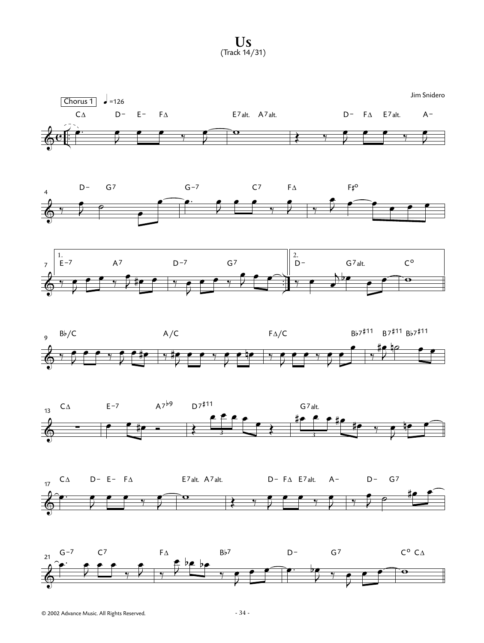**Us** (Track 14/31)



© 2002 Advance Music. All Rights Reserved. - 34 -